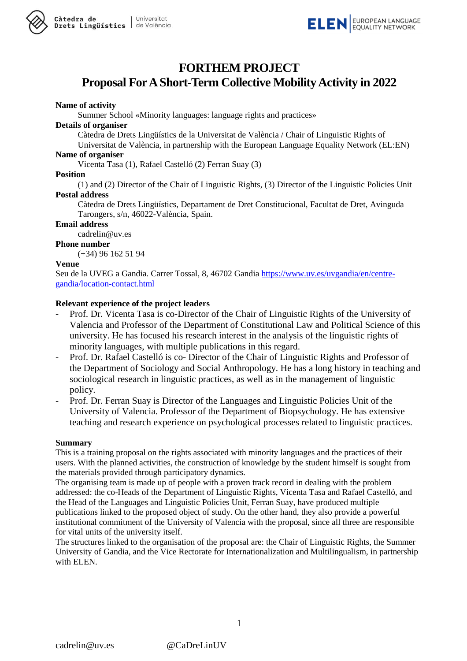



### **FORTHEM PROJECT**

## **Proposal ForAShort-Term Collective MobilityActivity in 2022**

#### **Name of activity**

Summer School «Minority languages: language rights and practices»

#### **Details of organiser**

Càtedra de Drets Lingüístics de la Universitat de València / Chair of Linguistic Rights of

Universitat de València, in partnership with the European Language Equality Network (EL:EN) **Name of organiser**

Vicenta Tasa (1), Rafael Castelló (2) Ferran Suay (3)

#### **Position**

(1) and (2) Director of the Chair of Linguistic Rights, (3) Director of the Linguistic Policies Unit **Postal address**

Càtedra de Drets Lingüístics, Departament de Dret Constitucional, Facultat de Dret, Avinguda Tarongers, s/n, 46022-València, Spain.

#### **Email address**

cadrelin@uv.es

**Phone number**

(+34) 96 162 51 94

#### **Venue**

Seu de la UVEG a Gandia. Carrer Tossal, 8, 46702 Gandia [https://www.uv.es/uvgandia/en/centre](https://www.uv.es/uvgandia/en/centre-gandia/location-contact.html)[gandia/location-contact.html](https://www.uv.es/uvgandia/en/centre-gandia/location-contact.html)

#### **Relevant experience of the project leaders**

- Prof. Dr. Vicenta Tasa is co-Director of the Chair of Linguistic Rights of the University of Valencia and Professor of the Department of Constitutional Law and Political Science of this university. He has focused his research interest in the analysis of the linguistic rights of minority languages, with multiple publications in this regard.
- Prof. Dr. Rafael Castelló is co- Director of the Chair of Linguistic Rights and Professor of the Department of Sociology and Social Anthropology. He has a long history in teaching and sociological research in linguistic practices, as well as in the management of linguistic policy.
- Prof. Dr. Ferran Suay is Director of the Languages and Linguistic Policies Unit of the University of Valencia. Professor of the Department of Biopsychology. He has extensive teaching and research experience on psychological processes related to linguistic practices.

#### **Summary**

This is a training proposal on the rights associated with minority languages and the practices of their users. With the planned activities, the construction of knowledge by the student himself is sought from the materials provided through participatory dynamics.

The organising team is made up of people with a proven track record in dealing with the problem addressed: the co-Heads of the Department of Linguistic Rights, Vicenta Tasa and Rafael Castelló, and the Head of the Languages and Linguistic Policies Unit, Ferran Suay, have produced multiple publications linked to the proposed object of study. On the other hand, they also provide a powerful institutional commitment of the University of Valencia with the proposal, since all three are responsible for vital units of the university itself.

The structures linked to the organisation of the proposal are: the Chair of Linguistic Rights, the Summer University of Gandia, and the Vice Rectorate for Internationalization and Multilingualism, in partnership with ELEN.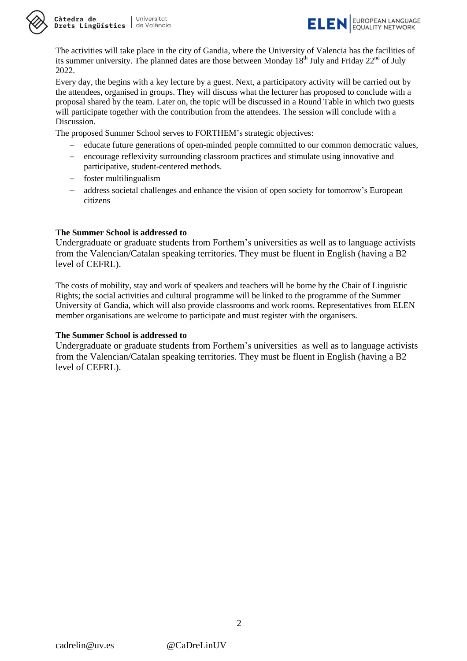

Càtedra de Universitat **Drets Lingüístics** de València



The activities will take place in the city of Gandia, where the University of Valencia has the facilities of its summer university. The planned dates are those between Monday  $18<sup>th</sup>$  July and Friday  $22<sup>nd</sup>$  of July 2022.

Every day, the begins with a key lecture by a guest. Next, a participatory activity will be carried out by the attendees, organised in groups. They will discuss what the lecturer has proposed to conclude with a proposal shared by the team. Later on, the topic will be discussed in a Round Table in which two guests will participate together with the contribution from the attendees. The session will conclude with a Discussion.

The proposed Summer School serves to FORTHEM's strategic objectives:

- educate future generations of open-minded people committed to our common democratic values,
- encourage reflexivity surrounding classroom practices and stimulate using innovative and participative, student-centered methods.
- foster multilingualism
- address societal challenges and enhance the vision of open society for tomorrow's European citizens

#### **The Summer School is addressed to**

Undergraduate or graduate students from Forthem's universities as well as to language activists from the Valencian/Catalan speaking territories. They must be fluent in English (having a B2 level of CEFRL).

The costs of mobility, stay and work of speakers and teachers will be borne by the Chair of Linguistic Rights; the social activities and cultural programme will be linked to the programme of the Summer University of Gandia, which will also provide classrooms and work rooms. Representatives from ELEN member organisations are welcome to participate and must register with the organisers.

#### **The Summer School is addressed to**

Undergraduate or graduate students from Forthem's universities as well as to language activists from the Valencian/Catalan speaking territories. They must be fluent in English (having a B2 level of CEFRL).